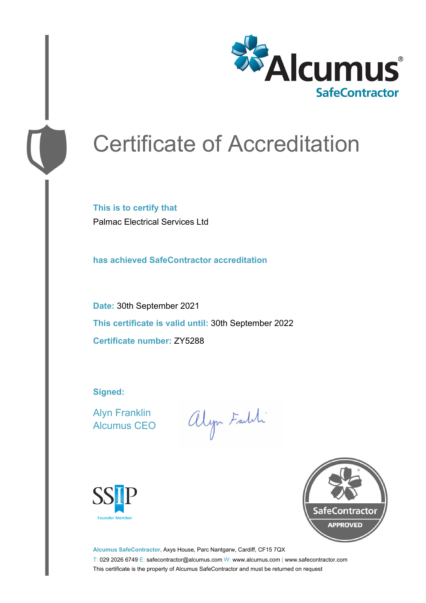

# Certificate of Accreditation

**This is to certify that** Palmac Electrical Services Ltd

**has achieved SafeContractor accreditation**

**Date:** 30th September 2021 **This certificate is valid until:** 30th September 2022 **Certificate number:** ZY5288

**Signed:**

Alyn Franklin Alcumus CEO

alyn Faldi





**Alcumus SafeContractor,** Axys House, Parc Nantgarw, Cardiff, CF15 7QX T: 029 2026 6749 E: safecontractor@alcumus.com W: www.alcumus.com | www.safecontractor.com This certificate is the property of Alcumus SafeContractor and must be returned on request